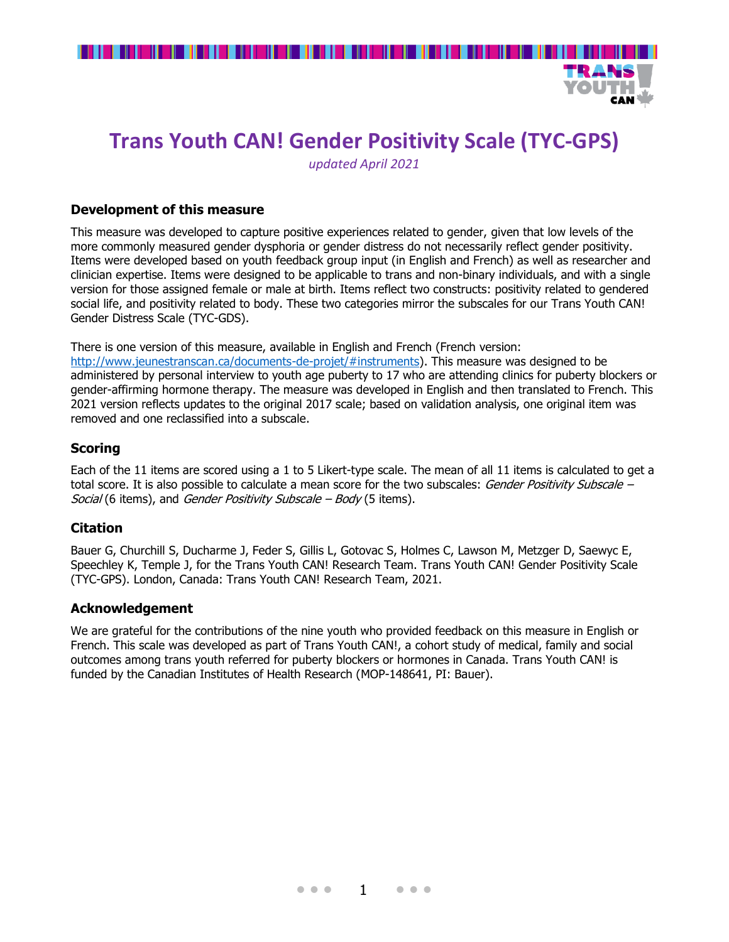

CAN T

# **Trans Youth CAN! Gender Positivity Scale (TYC-GPS)**

*updated April 2021*

#### **Development of this measure**

removed and one reclassified into a subscale.

This measure was developed to capture positive experiences related to gender, given that low levels of the more commonly measured gender dysphoria or gender distress do not necessarily reflect gender positivity. Items were developed based on youth feedback group input (in English and French) as well as researcher and clinician expertise. Items were designed to be applicable to trans and non-binary individuals, and with a single version for those assigned female or male at birth. Items reflect two constructs: positivity related to gendered social life, and positivity related to body. These two categories mirror the subscales for our Trans Youth CAN! Gender Distress Scale (TYC-GDS).

There is one version of this measure, available in English and French (French version: [http://www.jeunestranscan.ca/documents-de-projet/#instruments\)](http://www.jeunestranscan.ca/documents-de-projet/#instruments). This measure was designed to be administered by personal interview to youth age puberty to 17 who are attending clinics for puberty blockers or gender-affirming hormone therapy. The measure was developed in English and then translated to French. This 2021 version reflects updates to the original 2017 scale; based on validation analysis, one original item was

### **Scoring**

Each of the 11 items are scored using a 1 to 5 Likert-type scale. The mean of all 11 items is calculated to get a total score. It is also possible to calculate a mean score for the two subscales: Gender Positivity Subscale – Social (6 items), and Gender Positivity Subscale – Body (5 items).

## **Citation**

Bauer G, Churchill S, Ducharme J, Feder S, Gillis L, Gotovac S, Holmes C, Lawson M, Metzger D, Saewyc E, Speechley K, Temple J, for the Trans Youth CAN! Research Team. Trans Youth CAN! Gender Positivity Scale (TYC-GPS). London, Canada: Trans Youth CAN! Research Team, 2021.

#### **Acknowledgement**

We are grateful for the contributions of the nine youth who provided feedback on this measure in English or French. This scale was developed as part of Trans Youth CAN!, a cohort study of medical, family and social outcomes among trans youth referred for puberty blockers or hormones in Canada. Trans Youth CAN! is funded by the Canadian Institutes of Health Research (MOP-148641, PI: Bauer).

• • • 1 • • •